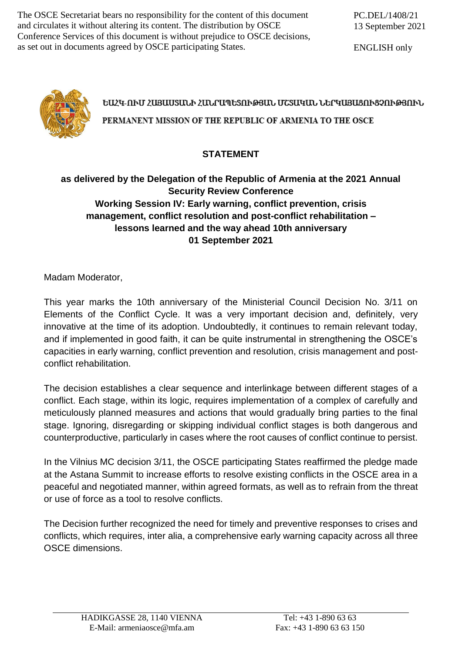The OSCE Secretariat bears no responsibility for the content of this document and circulates it without altering its content. The distribution by OSCE Conference Services of this document is without prejudice to OSCE decisions, as set out in documents agreed by OSCE participating States.

ENGLISH only



## ԵԱՀԿ-ՈՒՄ ՀԱՑԱՍՏԱՆԻ ՀԱՆՐԱՊԵՏՈՒԹՅԱՆ ՄՇՏԱԿԱՆ ՆԵՐԿԱՑԱՑՈՒՑՉՈՒԹՅՈՒՆ PERMANENT MISSION OF THE REPUBLIC OF ARMENIA TO THE OSCE

## **STATEMENT**

## **as delivered by the Delegation of the Republic of Armenia at the 2021 Annual Security Review Conference Working Session IV: Early warning, conflict prevention, crisis management, conflict resolution and post-conflict rehabilitation – lessons learned and the way ahead 10th anniversary 01 September 2021**

Madam Moderator,

This year marks the 10th anniversary of the Ministerial Council Decision No. 3/11 on Elements of the Conflict Cycle. It was a very important decision and, definitely, very innovative at the time of its adoption. Undoubtedly, it continues to remain relevant today, and if implemented in good faith, it can be quite instrumental in strengthening the OSCE's capacities in early warning, conflict prevention and resolution, crisis management and postconflict rehabilitation.

The decision establishes a clear sequence and interlinkage between different stages of a conflict. Each stage, within its logic, requires implementation of a complex of carefully and meticulously planned measures and actions that would gradually bring parties to the final stage. Ignoring, disregarding or skipping individual conflict stages is both dangerous and counterproductive, particularly in cases where the root causes of conflict continue to persist.

In the Vilnius MC decision 3/11, the OSCE participating States reaffirmed the pledge made at the Astana Summit to increase efforts to resolve existing conflicts in the OSCE area in a peaceful and negotiated manner, within agreed formats, as well as to refrain from the threat or use of force as a tool to resolve conflicts.

The Decision further recognized the need for timely and preventive responses to crises and conflicts, which requires, inter alia, a comprehensive early warning capacity across all three OSCE dimensions.